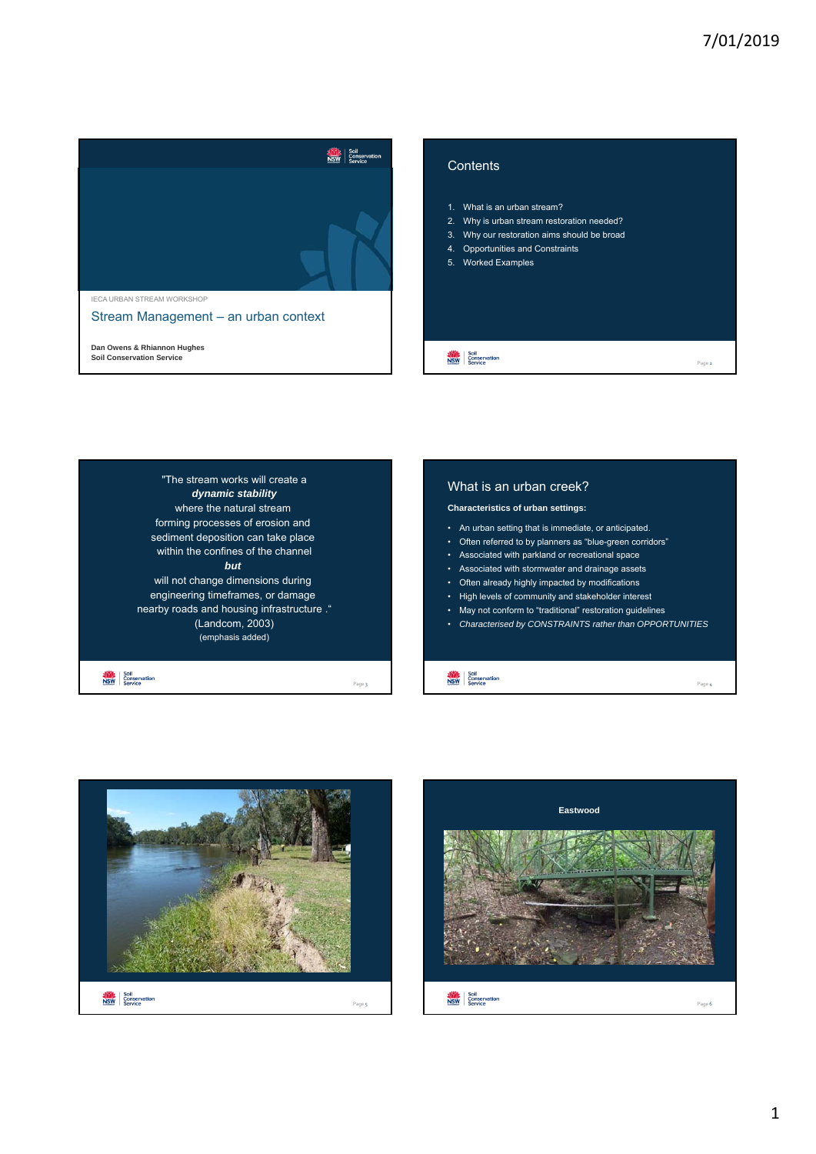





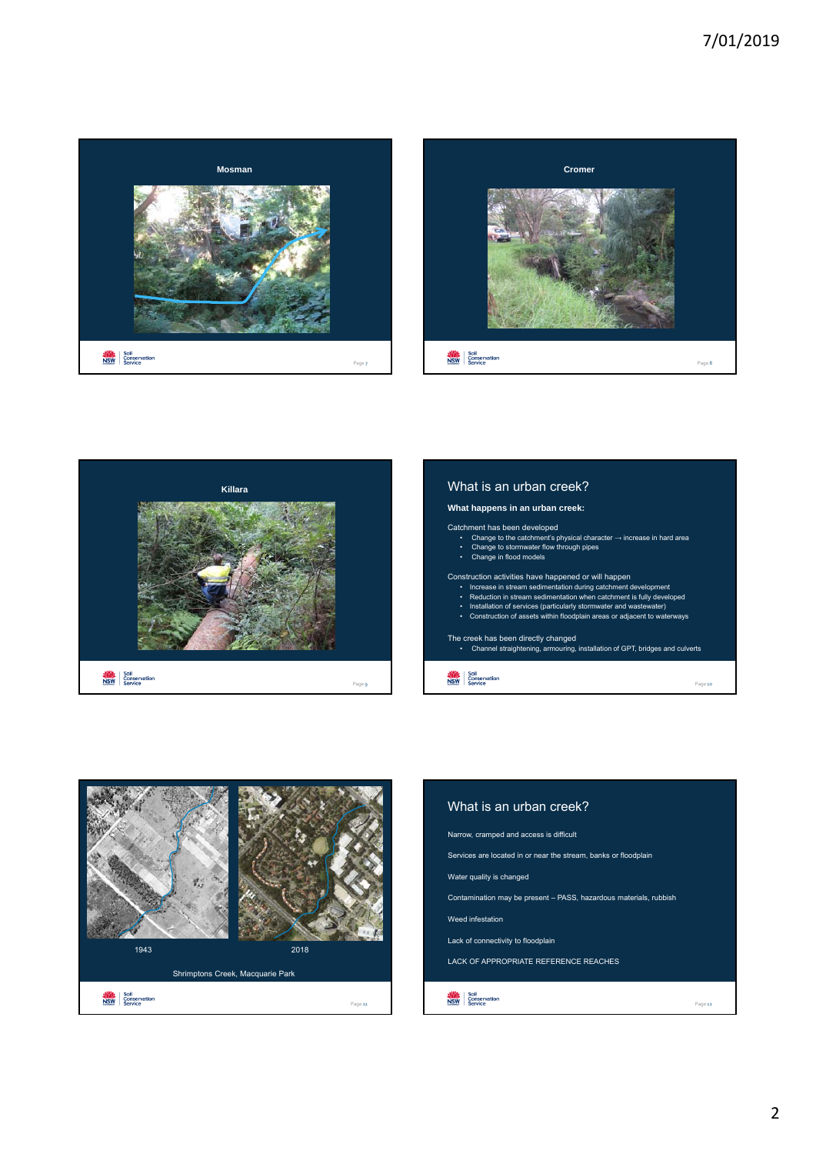# 7/01/2019







# What is an urban creek?

#### **What happens in an urban creek:**

#### Catchment has been developed

• Change to the catchment's physical character → increase in hard area • Change to stormwater flow through pipes • Change in flood models

## Construction activities have happened or will happen

- Increase in stream sedimentation during catchment development Reduction in stream sedimentation when catchment is fully developed
- 
- Installation of services (particularly stormwater and wastewater) Construction of assets within floodplain areas or adjacent to waterways

The creek has been directly changed • Channel straightening, armouring, installation of GPT, bridges and culverts

Page 10

Soil<br>NSW Conservation

1943 2018 Shrimptons Creek, Macquarie Park NSW Soil<br>NSW Conservation Page 11

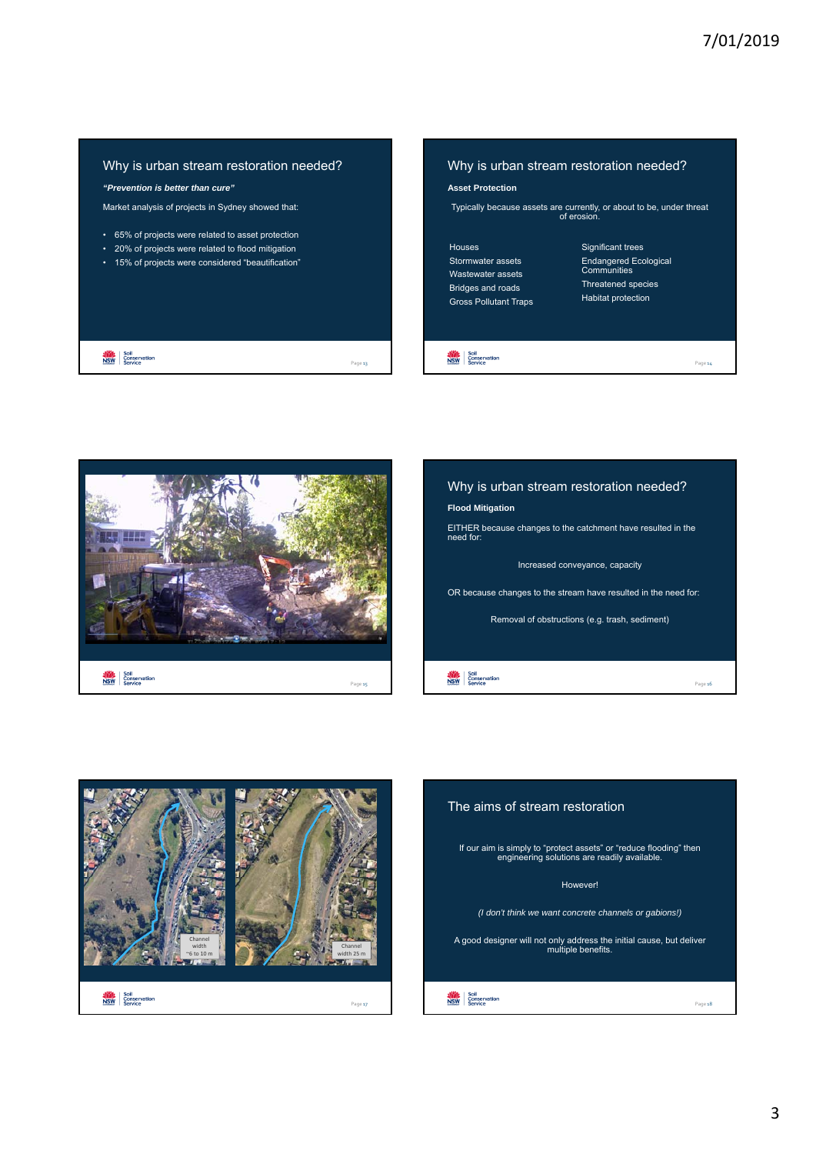# Why is urban stream restoration needed?

*"Prevention is better than cure"*

**NSW** Soil<br>NSW Conservation

Market analysis of projects in Sydney showed that:

- 65% of projects were related to asset protection
- 20% of projects were related to flood mitigation
- 15% of projects were considered "beautification"

# Why is urban stream restoration needed?

#### **Asset Protection**

Typically because assets are currently, or about to be, under threat of erosion.

#### Houses Stormwater assets Wastewater assets Bridges and roads Gross Pollutant Traps

# Significant trees Endangered Ecological Communities Threatened species Habitat protection

Page 14

**NSW** Soil<br>NSW Service







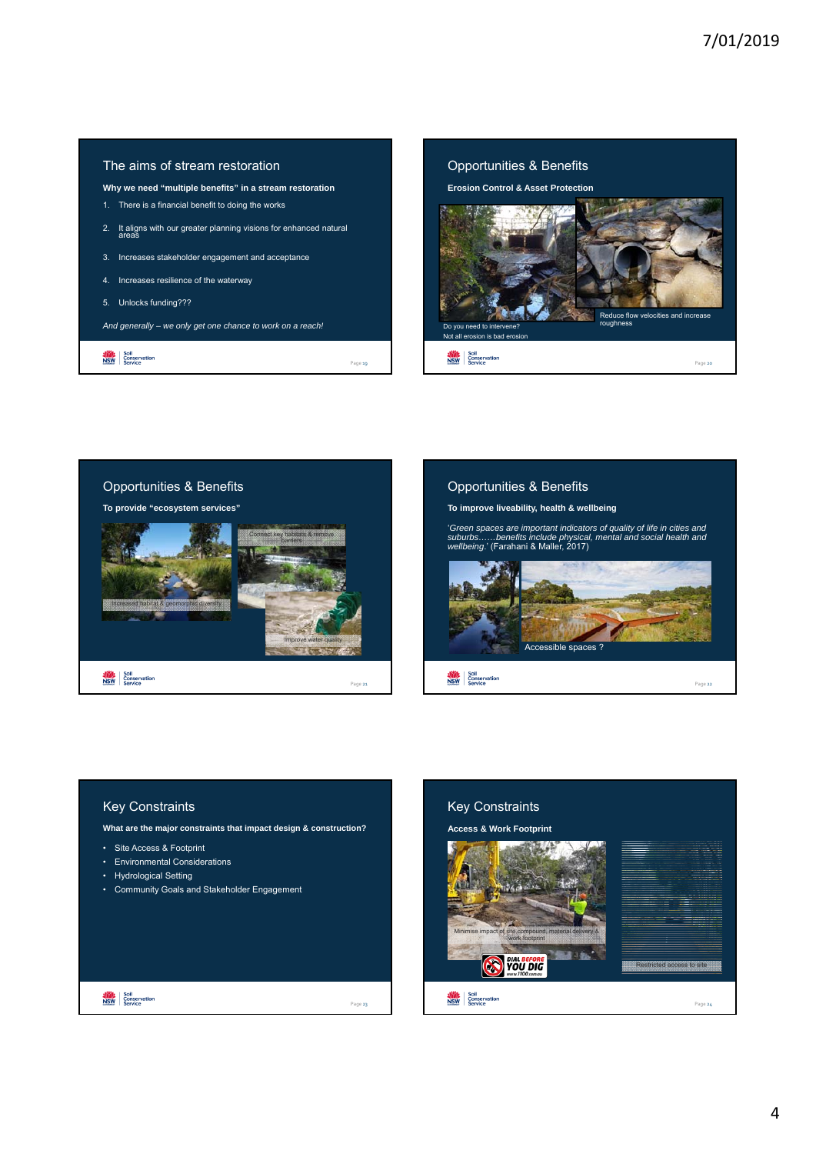# The aims of stream restoration

- **Why we need "multiple benefits" in a stream restoration**
- 1. There is a financial benefit to doing the works
- 2. It aligns with our greater planning visions for enhanced natural
- 3. Increases stakeholder engagement and acceptance
- 4. Increases resilience of the waterway
- 5. Unlocks funding???

**NSW** Soil<br>NSW Conservation

*And generally – we only get one chance to work on a reach!*



# Opportunities & Benefits

**To provide "ecosystem services"**



## Opportunities & Benefits

**To improve liveability, health & wellbeing**

'*Green spaces are important indicators of quality of life in cities and suburbs……benefits include physical, mental and social health and wellbeing*.' (Farahani & Maller, 2017)



## Key Constraints

**What are the major constraints that impact design & construction?**

- Site Access & Footprint
- Environmental Considerations
- Hydrological Setting

**NOW** Soil<br> **NSW** Service

• Community Goals and Stakeholder Engagement



Page 23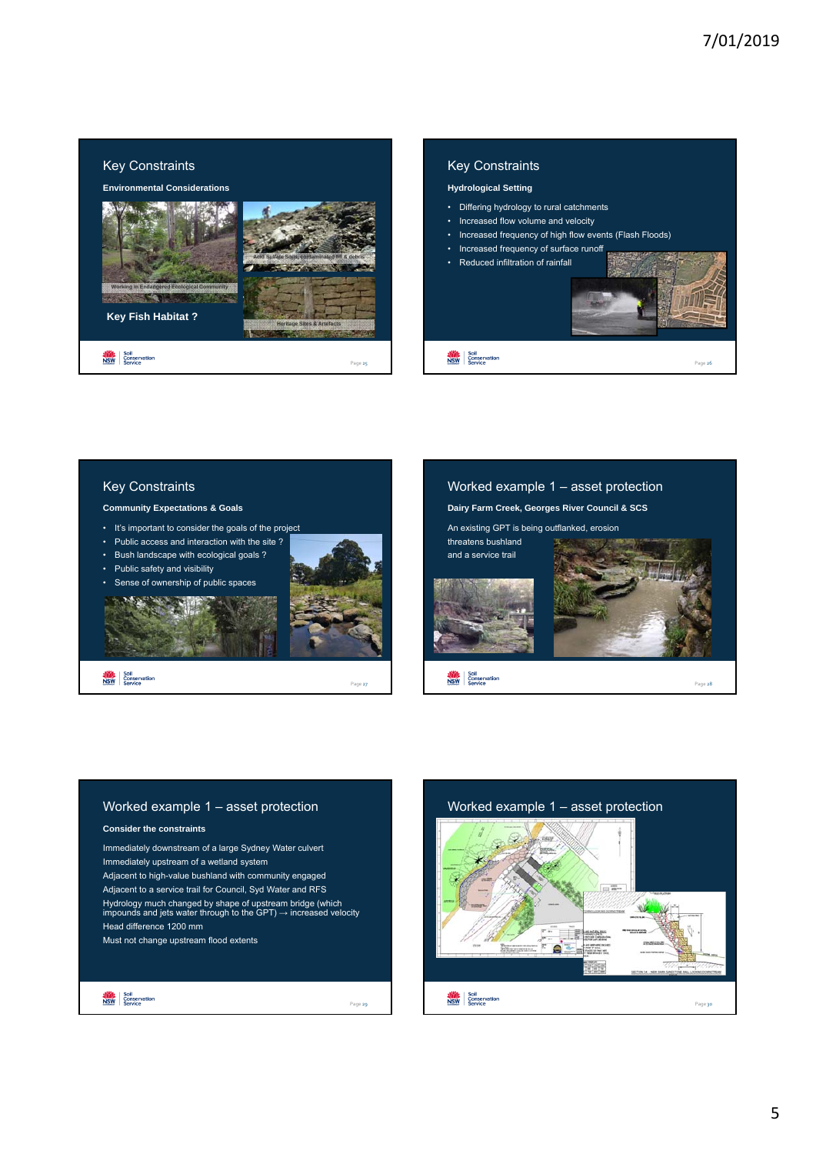# Key Constraints

**Environmental Considerations** 





Page 25

**Key Fish Habitat ?** 

**NSW** Soil<br>NSW Conservation

# Key Constraints

#### **Hydrological Setting**

- Differing hydrology to rural catchments
- Increased flow volume and velocity
- Increased frequency of high flow events (Flash Floods)
- 
- 





#### **Community Expectations & Goals**

- It's important to consider the goals of the project
- Public access and interaction with the site ?
- Bush landscape with ecological goals ?
- Public safety and visibility
- Sense of ownership of public spaces



**NSW**<br>NSW Conservation





#### Worked example 1 – asset protection

#### **Consider the constraints**

Immediately downstream of a large Sydney Water culvert Immediately upstream of a wetland system Adjacent to high-value bushland with community engaged Adjacent to a service trail for Council, Syd Water and RFS Hydrology much changed by shape of upstream bridge (which<br>impounds and jets water through to the GPT) → increased velocity Head difference 1200 mm Must not change upstream flood extents



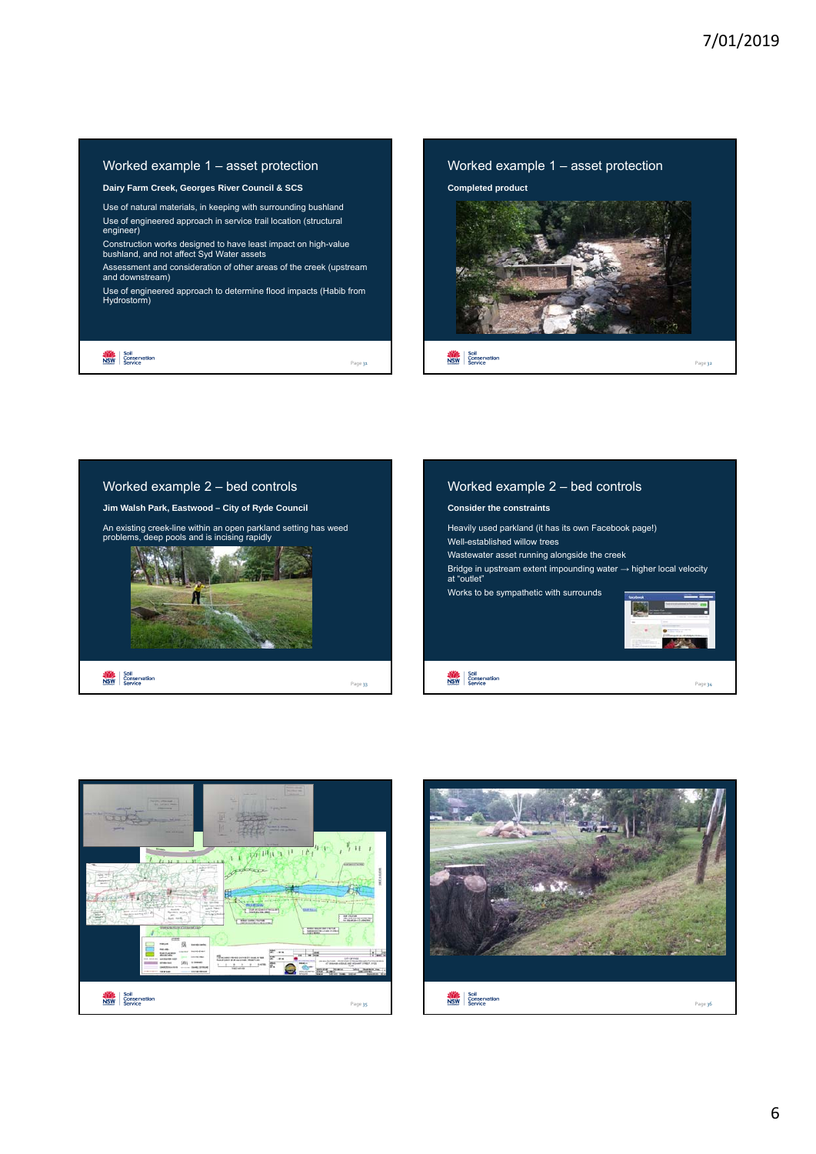## Worked example 1 – asset protection

#### **Dairy Farm Creek, Georges River Council & SCS**

Use of natural materials, in keeping with surrounding bushland Use of engineered approach in service trail location (structural engineer)

Construction works designed to have least impact on high-value bushland, and not affect Syd Water assets

Assessment and consideration of other areas of the creek (upstream and downstream)

Use of engineered approach to determine flood impacts (Habib from Hydrostorm)

Page 31

**NSW** Soil<br>NSW Conservation









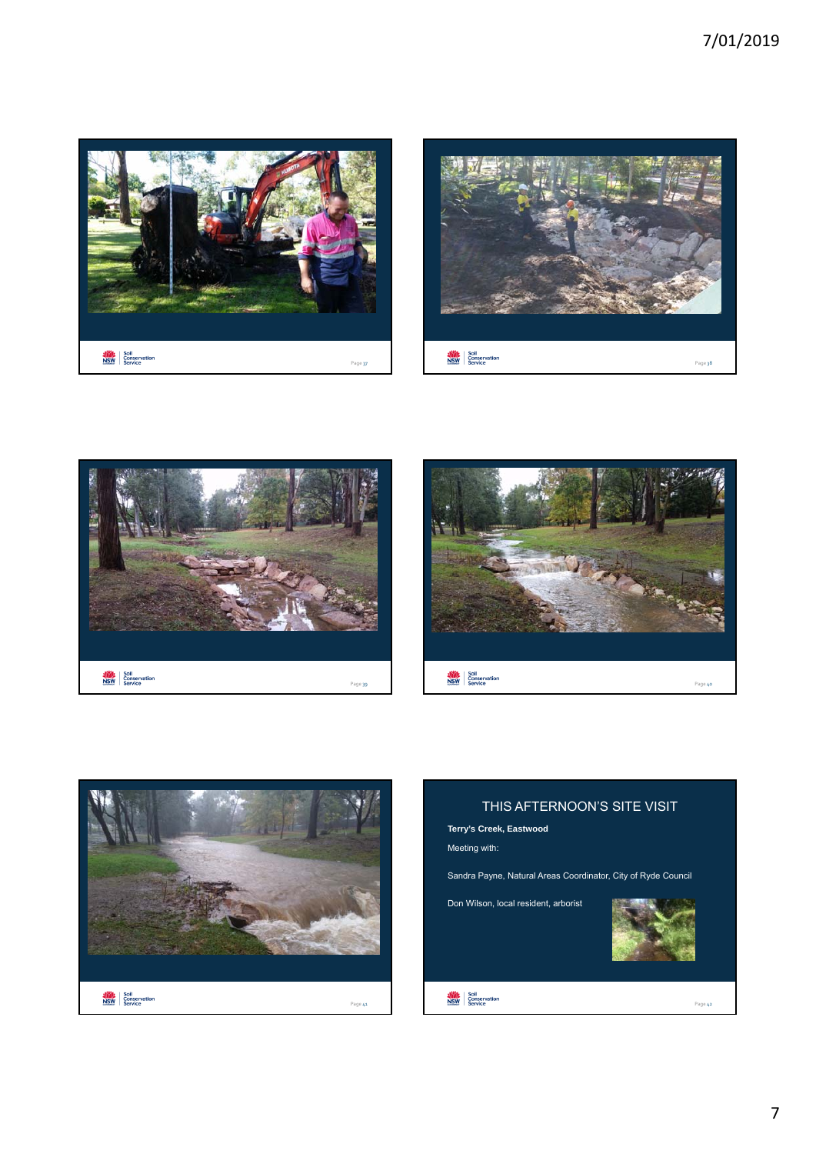